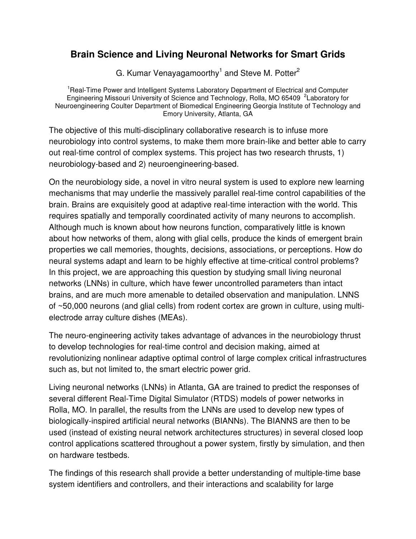## **Brain Science and Living Neuronal Networks for Smart Grids**

G. Kumar Venayagamoorthy<sup>1</sup> and Steve M. Potter<sup>2</sup>

<sup>1</sup>Real-Time Power and Intelligent Systems Laboratory Department of Electrical and Computer Engineering Missouri University of Science and Technology, Rolla, MO 65409 <sup>2</sup>Laboratory for Neuroengineering Coulter Department of Biomedical Engineering Georgia Institute of Technology and Emory University, Atlanta, GA

The objective of this multi-disciplinary collaborative research is to infuse more neurobiology into control systems, to make them more brain-like and better able to carry out real-time control of complex systems. This project has two research thrusts, 1) neurobiology-based and 2) neuroengineering-based.

On the neurobiology side, a novel in vitro neural system is used to explore new learning mechanisms that may underlie the massively parallel real-time control capabilities of the brain. Brains are exquisitely good at adaptive real-time interaction with the world. This requires spatially and temporally coordinated activity of many neurons to accomplish. Although much is known about how neurons function, comparatively little is known about how networks of them, along with glial cells, produce the kinds of emergent brain properties we call memories, thoughts, decisions, associations, or perceptions. How do neural systems adapt and learn to be highly effective at time-critical control problems? In this project, we are approaching this question by studying small living neuronal networks (LNNs) in culture, which have fewer uncontrolled parameters than intact brains, and are much more amenable to detailed observation and manipulation. LNNS of ~50,000 neurons (and glial cells) from rodent cortex are grown in culture, using multielectrode array culture dishes (MEAs).

The neuro-engineering activity takes advantage of advances in the neurobiology thrust to develop technologies for real-time control and decision making, aimed at revolutionizing nonlinear adaptive optimal control of large complex critical infrastructures such as, but not limited to, the smart electric power grid.

Living neuronal networks (LNNs) in Atlanta, GA are trained to predict the responses of several different Real-Time Digital Simulator (RTDS) models of power networks in Rolla, MO. In parallel, the results from the LNNs are used to develop new types of biologically-inspired artificial neural networks (BIANNs). The BIANNS are then to be used (instead of existing neural network architectures structures) in several closed loop control applications scattered throughout a power system, firstly by simulation, and then on hardware testbeds.

The findings of this research shall provide a better understanding of multiple-time base system identifiers and controllers, and their interactions and scalability for large